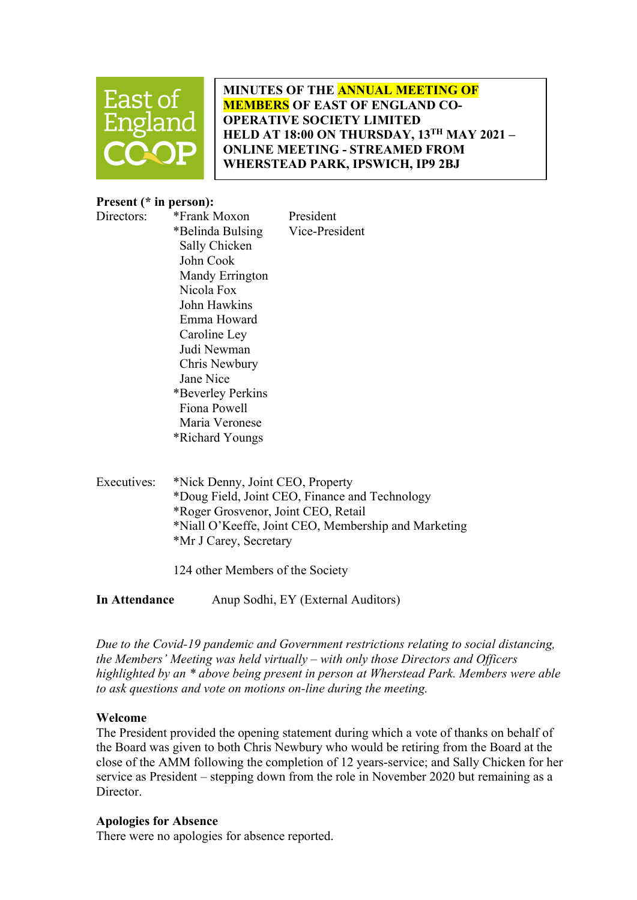

MINUTES OF THE ANNUAL MEETING OF MEMBERS OF EAST OF ENGLAND CO-OPERATIVE SOCIETY LIMITED HELD AT 18:00 ON THURSDAY, 13TH MAY 2021 -ONLINE MEETING - STREAMED FROM WHERSTEAD PARK, IPSWICH, IP9 2BJ

# Present (\* in person):

Directors: \*Frank Moxon President \*Belinda Bulsing Vice-President Sally Chicken John Cook Mandy Errington Nicola Fox John Hawkins Emma Howard Caroline Ley Judi Newman Chris Newbury Jane Nice \*Beverley Perkins Fiona Powell Maria Veronese \*Richard Youngs

Executives: \*Nick Denny, Joint CEO, Property \*Doug Field, Joint CEO, Finance and Technology \*Roger Grosvenor, Joint CEO, Retail \*Niall O'Keeffe, Joint CEO, Membership and Marketing \*Mr J Carey, Secretary

124 other Members of the Society

In Attendance Anup Sodhi, EY (External Auditors)

Due to the Covid-19 pandemic and Government restrictions relating to social distancing, the Members' Meeting was held virtually – with only those Directors and Officers highlighted by an \* above being present in person at Wherstead Park. Members were able to ask questions and vote on motions on-line during the meeting.

# Welcome

The President provided the opening statement during which a vote of thanks on behalf of the Board was given to both Chris Newbury who would be retiring from the Board at the close of the AMM following the completion of 12 years-service; and Sally Chicken for her service as President – stepping down from the role in November 2020 but remaining as a Director.

### Apologies for Absence

There were no apologies for absence reported.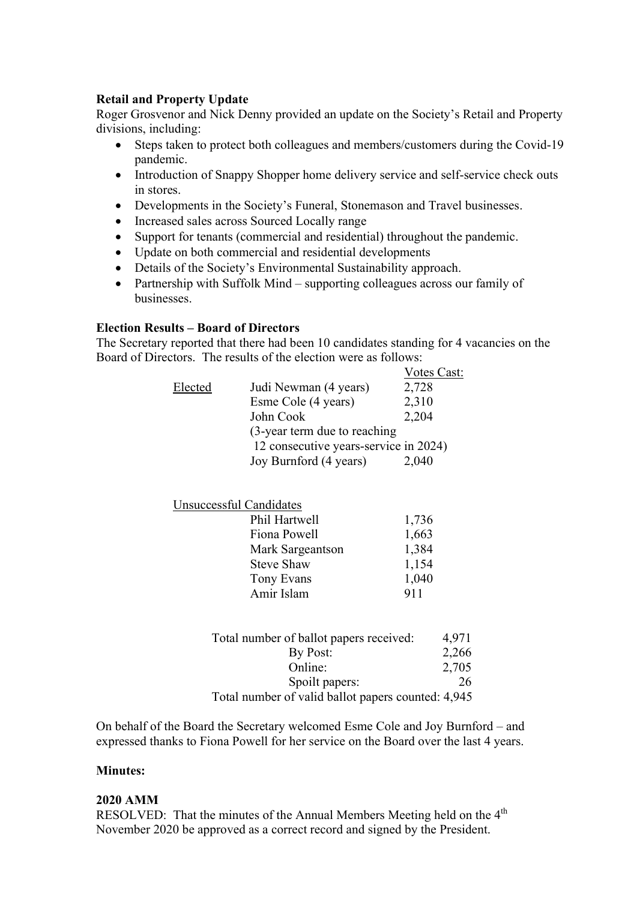# Retail and Property Update

Roger Grosvenor and Nick Denny provided an update on the Society's Retail and Property divisions, including:

- Steps taken to protect both colleagues and members/customers during the Covid-19 pandemic.
- Introduction of Snappy Shopper home delivery service and self-service check outs in stores.
- Developments in the Society's Funeral, Stonemason and Travel businesses.
- Increased sales across Sourced Locally range
- Support for tenants (commercial and residential) throughout the pandemic.
- Update on both commercial and residential developments
- Details of the Society's Environmental Sustainability approach.
- Partnership with Suffolk Mind supporting colleagues across our family of businesses.

### Election Results – Board of Directors

The Secretary reported that there had been 10 candidates standing for 4 vacancies on the Board of Directors. The results of the election were as follows:

|         |                                       | Votes Cast: |
|---------|---------------------------------------|-------------|
| Elected | Judi Newman (4 years)                 | 2,728       |
|         | Esme Cole (4 years)                   | 2,310       |
|         | John Cook                             | 2,204       |
|         | (3-year term due to reaching          |             |
|         | 12 consecutive years-service in 2024) |             |
|         | Joy Burnford (4 years)                | 2,040       |

### Unsuccessful Candidates

| Phil Hartwell     | 1,736 |
|-------------------|-------|
| Fiona Powell      | 1,663 |
| Mark Sargeantson  | 1,384 |
| <b>Steve Shaw</b> | 1,154 |
| Tony Evans        | 1,040 |
| Amir Islam        | 911   |

| Total number of ballot papers received:            | 4.971 |
|----------------------------------------------------|-------|
| By Post:                                           | 2,266 |
| Online:                                            | 2,705 |
| Spoilt papers:                                     | 26    |
| Total number of valid ballot papers counted: 4,945 |       |

On behalf of the Board the Secretary welcomed Esme Cole and Joy Burnford – and expressed thanks to Fiona Powell for her service on the Board over the last 4 years.

#### Minutes:

#### 2020 AMM

RESOLVED: That the minutes of the Annual Members Meeting held on the 4<sup>th</sup> November 2020 be approved as a correct record and signed by the President.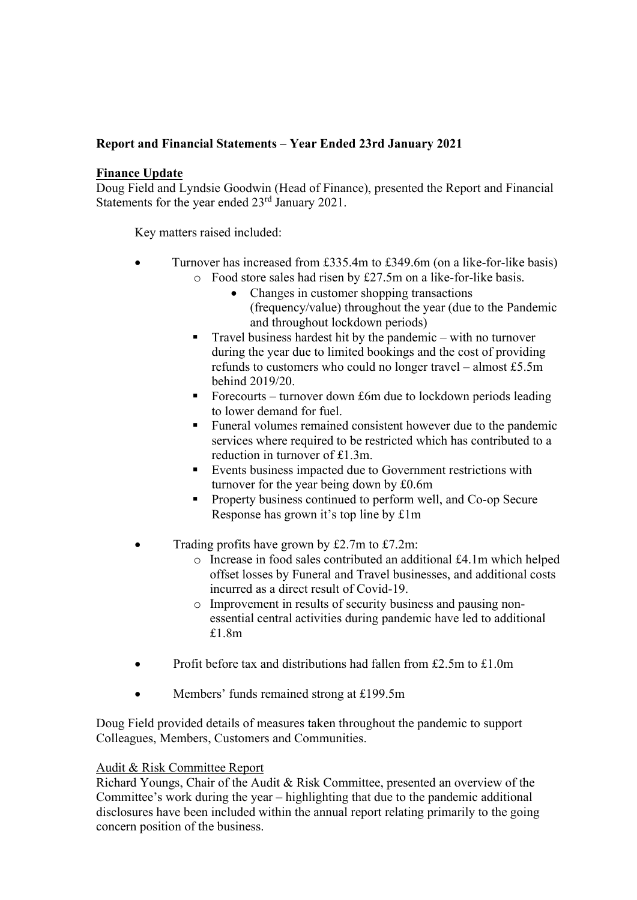# Report and Financial Statements – Year Ended 23rd January 2021

# Finance Update

Doug Field and Lyndsie Goodwin (Head of Finance), presented the Report and Financial Statements for the year ended 23<sup>rd</sup> January 2021.

Key matters raised included:

- Turnover has increased from £335.4m to £349.6m (on a like-for-like basis) o Food store sales had risen by £27.5m on a like-for-like basis.
	- Changes in customer shopping transactions (frequency/value) throughout the year (due to the Pandemic and throughout lockdown periods)
	- **Travel business hardest hit by the pandemic with no turnover** during the year due to limited bookings and the cost of providing refunds to customers who could no longer travel – almost £5.5m behind 2019/20.
	- Forecourts turnover down £6m due to lockdown periods leading to lower demand for fuel.
	- **Funeral volumes remained consistent however due to the pandemic** services where required to be restricted which has contributed to a reduction in turnover of £1.3m.
	- Events business impacted due to Government restrictions with turnover for the year being down by £0.6m
	- Property business continued to perform well, and Co-op Secure Response has grown it's top line by £1m
- Trading profits have grown by £2.7m to £7.2m:
	- o Increase in food sales contributed an additional £4.1m which helped offset losses by Funeral and Travel businesses, and additional costs incurred as a direct result of Covid-19.
	- o Improvement in results of security business and pausing nonessential central activities during pandemic have led to additional £1.8m
- Profit before tax and distributions had fallen from £2.5m to £1.0m
- Members' funds remained strong at £199.5m

Doug Field provided details of measures taken throughout the pandemic to support Colleagues, Members, Customers and Communities.

# Audit & Risk Committee Report

Richard Youngs, Chair of the Audit & Risk Committee, presented an overview of the Committee's work during the year – highlighting that due to the pandemic additional disclosures have been included within the annual report relating primarily to the going concern position of the business.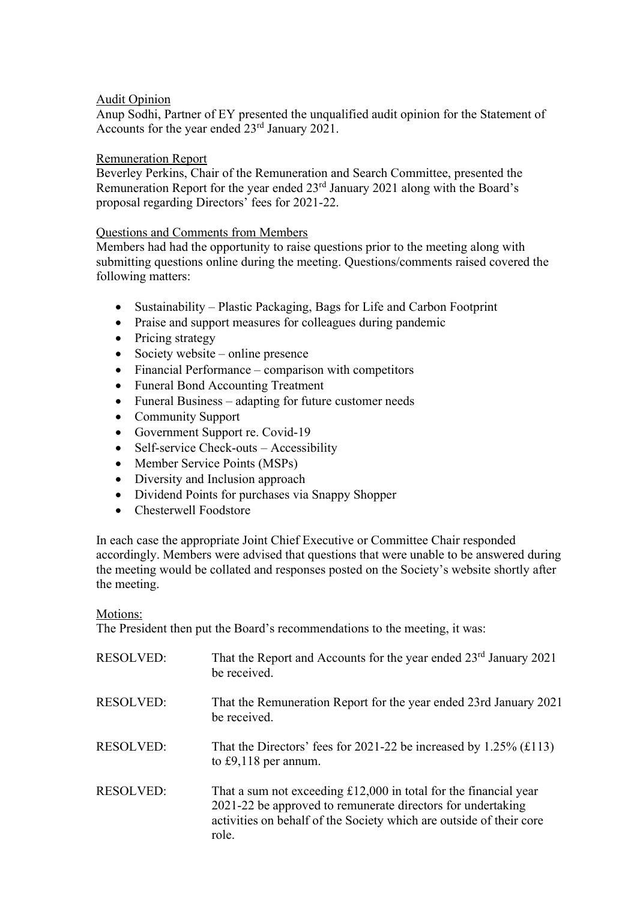# Audit Opinion

Anup Sodhi, Partner of EY presented the unqualified audit opinion for the Statement of Accounts for the year ended 23rd January 2021.

### Remuneration Report

 Beverley Perkins, Chair of the Remuneration and Search Committee, presented the Remuneration Report for the year ended 23rd January 2021 along with the Board's proposal regarding Directors' fees for 2021-22.

# Questions and Comments from Members

Members had had the opportunity to raise questions prior to the meeting along with submitting questions online during the meeting. Questions/comments raised covered the following matters:

- Sustainability Plastic Packaging, Bags for Life and Carbon Footprint
- Praise and support measures for colleagues during pandemic
- Pricing strategy
- Society website online presence
- Financial Performance comparison with competitors
- Funeral Bond Accounting Treatment
- Funeral Business adapting for future customer needs
- Community Support
- Government Support re. Covid-19
- Self-service Check-outs Accessibility
- Member Service Points (MSPs)
- Diversity and Inclusion approach
- Dividend Points for purchases via Snappy Shopper
- Chesterwell Foodstore

In each case the appropriate Joint Chief Executive or Committee Chair responded accordingly. Members were advised that questions that were unable to be answered during the meeting would be collated and responses posted on the Society's website shortly after the meeting.

### Motions:

The President then put the Board's recommendations to the meeting, it was:

| <b>RESOLVED:</b> | That the Report and Accounts for the year ended 23 <sup>rd</sup> January 2021<br>be received.                                                                                                                     |
|------------------|-------------------------------------------------------------------------------------------------------------------------------------------------------------------------------------------------------------------|
| <b>RESOLVED:</b> | That the Remuneration Report for the year ended 23rd January 2021<br>be received.                                                                                                                                 |
| <b>RESOLVED:</b> | That the Directors' fees for 2021-22 be increased by 1.25% $(f113)$<br>to £9,118 per annum.                                                                                                                       |
| <b>RESOLVED:</b> | That a sum not exceeding $£12,000$ in total for the financial year<br>2021-22 be approved to remunerate directors for undertaking<br>activities on behalf of the Society which are outside of their core<br>role. |